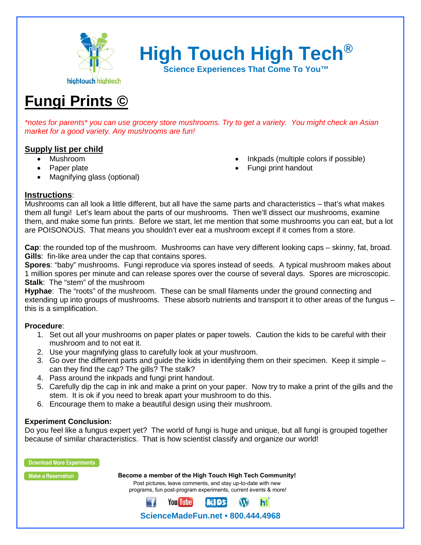

**High Touch High Tech®**

**Science Experiences That Come To You™**

# **Fungi Prints ©**

*\*notes for parents\* you can use grocery store mushrooms. Try to get a variety. You might check an Asian market for a good variety. Any mushrooms are fun!*

## **Supply list per child**

- Mushroom
- Paper plate
- Magnifying glass (optional)
- Inkpads (multiple colors if possible)
- Fungi print handout

### **Instructions**:

Mushrooms can all look a little different, but all have the same parts and characteristics – that's what makes them all fungi! Let's learn about the parts of our mushrooms. Then we'll dissect our mushrooms, examine them, and make some fun prints. Before we start, let me mention that some mushrooms you can eat, but a lot are POISONOUS. That means you shouldn't ever eat a mushroom except if it comes from a store.

**Cap**: the rounded top of the mushroom. Mushrooms can have very different looking caps – skinny, fat, broad. **Gills**: fin-like area under the cap that contains spores.

**Spores**: "baby" mushrooms. Fungi reproduce via spores instead of seeds. A typical mushroom makes about 1 million spores per minute and can release spores over the course of several days. Spores are microscopic. **Stalk**: The "stem" of the mushroom

**Hyphae**: The "roots" of the mushroom. These can be small filaments under the ground connecting and extending up into groups of mushrooms. These absorb nutrients and transport it to other areas of the fungus – this is a simplification.

### **Procedure**:

- 1. Set out all your mushrooms on paper plates or paper towels. Caution the kids to be careful with their mushroom and to not eat it.
- 2. Use your magnifying glass to carefully look at your mushroom.
- 3. Go over the different parts and guide the kids in identifying them on their specimen. Keep it simple can they find the cap? The gills? The stalk?
- 4. Pass around the inkpads and fungi print handout.
- 5. Carefully dip the cap in ink and make a print on your paper. Now try to make a print of the gills and the stem. It is ok if you need to break apart your mushroom to do this.
- 6. Encourage them to make a beautiful design using their mushroom.

### **Experiment Conclusion:**

Do you feel like a fungus expert yet? The world of fungi is huge and unique, but all fungi is grouped together because of similar characteristics. That is how scientist classify and organize our world!



**ScienceMadeFun.net • 800.444.4968** 

**KIDS** 

W ht